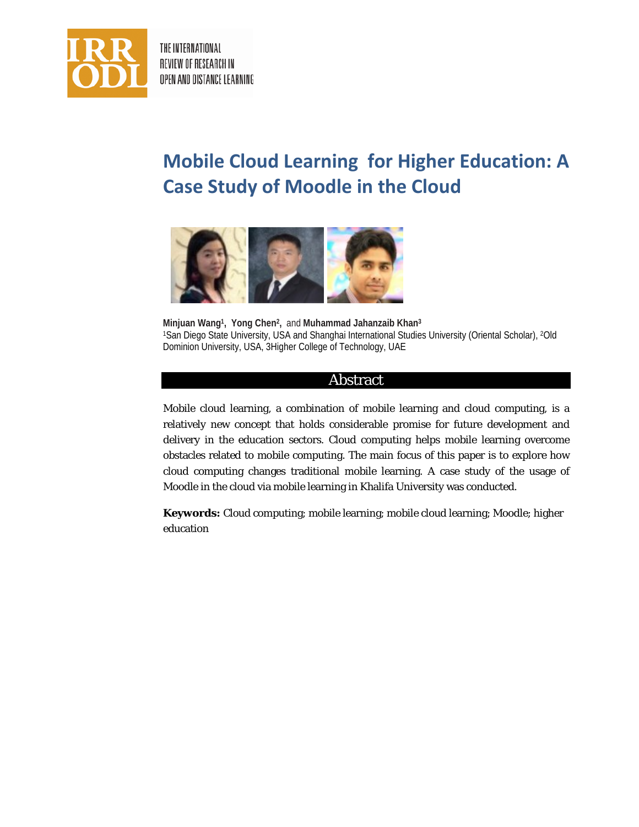

THE INTERNATIONAL REVIEW OF RESEARCH IN OPEN AND DISTANCE LEARNING

# **Mobile Cloud Learning for Higher Education: A Case Study of Moodle in the Cloud**



**Minjuan Wang1, Yong Chen2,** and **Muhammad Jahanzaib Khan3** 1San Diego State University, USA and Shanghai International Studies University (Oriental Scholar), 2Old Dominion University, USA, 3Higher College of Technology, UAE

## Abstract

Mobile cloud learning, a combination of mobile learning and cloud computing, is a relatively new concept that holds considerable promise for future development and delivery in the education sectors. Cloud computing helps mobile learning overcome obstacles related to mobile computing. The main focus of this paper is to explore how cloud computing changes traditional mobile learning. A case study of the usage of Moodle in the cloud via mobile learning in Khalifa University was conducted.

**Keywords:** Cloud computing; mobile learning; mobile cloud learning; Moodle; higher education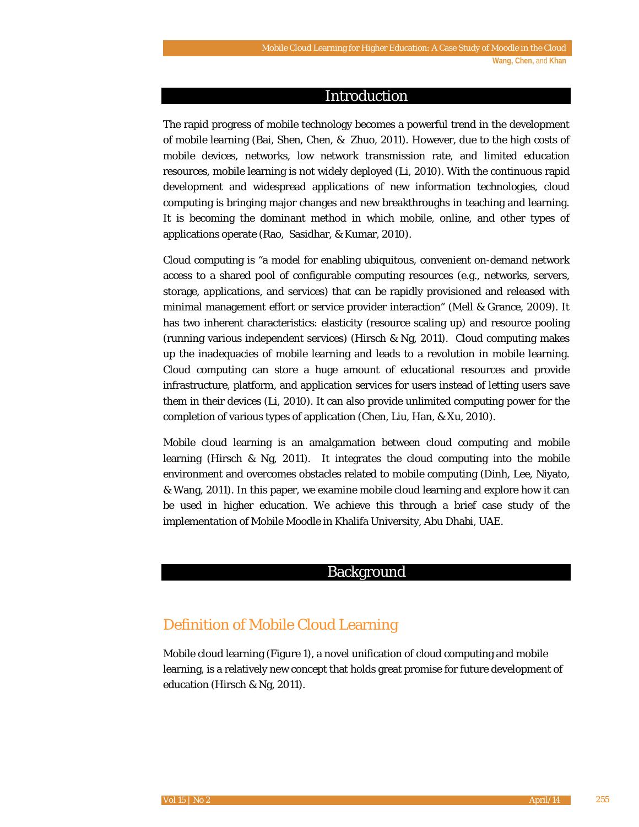## Introduction

The rapid progress of mobile technology becomes a powerful trend in the development of mobile learning (Bai, Shen, Chen, & Zhuo, 2011). However, due to the high costs of mobile devices, networks, low network transmission rate, and limited education resources, mobile learning is not widely deployed (Li, 2010). With the continuous rapid development and widespread applications of new information technologies, cloud computing is bringing major changes and new breakthroughs in teaching and learning. It is becoming the dominant method in which mobile, online, and other types of applications operate (Rao, Sasidhar, & Kumar, 2010).

Cloud computing is "a model for enabling ubiquitous, convenient on-demand network access to a shared pool of configurable computing resources (e.g., networks, servers, storage, applications, and services) that can be rapidly provisioned and released with minimal management effort or service provider interaction" (Mell & Grance, 2009). It has two inherent characteristics: elasticity (resource scaling up) and resource pooling (running various independent services) (Hirsch & Ng, 2011). Cloud computing makes up the inadequacies of mobile learning and leads to a revolution in mobile learning. Cloud computing can store a huge amount of educational resources and provide infrastructure, platform, and application services for users instead of letting users save them in their devices (Li, 2010). It can also provide unlimited computing power for the completion of various types of application (Chen, Liu, Han, & Xu, 2010).

Mobile cloud learning is an amalgamation between cloud computing and mobile learning (Hirsch & Ng, 2011). It integrates the cloud computing into the mobile environment and overcomes obstacles related to mobile computing (Dinh, Lee, Niyato, & Wang, 2011). In this paper, we examine mobile cloud learning and explore how it can be used in higher education. We achieve this through a brief case study of the implementation of Mobile Moodle in Khalifa University, Abu Dhabi, UAE.

## Background

## Definition of Mobile Cloud Learning

Mobile cloud learning (Figure 1), a novel unification of cloud computing and mobile learning, is a relatively new concept that holds great promise for future development of education (Hirsch & Ng, 2011).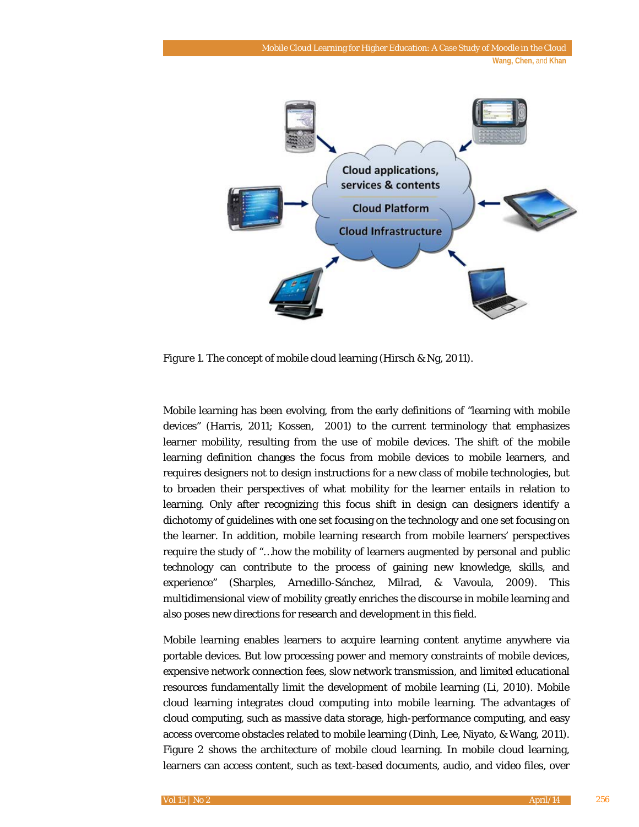

*Figure 1.* The concept of mobile cloud learning (Hirsch & Ng, 2011).

Mobile learning has been evolving, from the early definitions of "learning with mobile devices" (Harris, 2011; Kossen, 2001) to the current terminology that emphasizes learner mobility, resulting from the use of mobile devices. The shift of the mobile learning definition changes the focus from mobile devices to mobile learners, and requires designers not to design instructions for a new class of mobile technologies, but to broaden their perspectives of what mobility for the learner entails in relation to learning. Only after recognizing this focus shift in design can designers identify a dichotomy of guidelines with one set focusing on the technology and one set focusing on the learner. In addition, mobile learning research from mobile learners' perspectives require the study of "…how the mobility of learners augmented by personal and public technology can contribute to the process of gaining new knowledge, skills, and experience" (Sharples, Arnedillo-Sánchez, Milrad, & Vavoula, 2009). This multidimensional view of mobility greatly enriches the discourse in mobile learning and also poses new directions for research and development in this field.

Mobile learning enables learners to acquire learning content anytime anywhere via portable devices. But low processing power and memory constraints of mobile devices, expensive network connection fees, slow network transmission, and limited educational resources fundamentally limit the development of mobile learning (Li, 2010). Mobile cloud learning integrates cloud computing into mobile learning. The advantages of cloud computing, such as massive data storage, high-performance computing, and easy access overcome obstacles related to mobile learning (Dinh, Lee, Niyato, & Wang, 2011). Figure 2 shows the architecture of mobile cloud learning. In mobile cloud learning, learners can access content, such as text-based documents, audio, and video files, over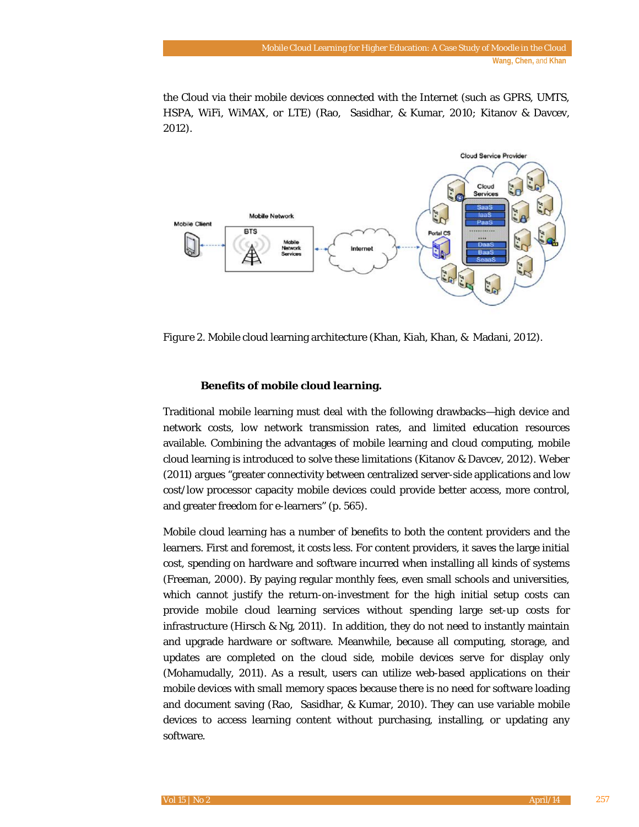the Cloud via their mobile devices connected with the Internet (such as GPRS, UMTS, HSPA, WiFi, WiMAX, or LTE) (Rao, Sasidhar, & Kumar, 2010; Kitanov & Davcev, 2012).



*Figure 2*. Mobile cloud learning architecture (Khan, Kiah, Khan, & Madani, 2012).

#### **Benefits of mobile cloud learning.**

Traditional mobile learning must deal with the following drawbacks—high device and network costs, low network transmission rates, and limited education resources available. Combining the advantages of mobile learning and cloud computing, mobile cloud learning is introduced to solve these limitations (Kitanov & Davcev, 2012). Weber (2011) argues "greater connectivity between centralized server-side applications and low cost/low processor capacity mobile devices could provide better access, more control, and greater freedom for e-learners" (p. 565).

Mobile cloud learning has a number of benefits to both the content providers and the learners. First and foremost, it costs less. For content providers, it saves the large initial cost, spending on hardware and software incurred when installing all kinds of systems (Freeman, 2000). By paying regular monthly fees, even small schools and universities, which cannot justify the return-on-investment for the high initial setup costs can provide mobile cloud learning services without spending large set-up costs for infrastructure (Hirsch & Ng, 2011). In addition, they do not need to instantly maintain and upgrade hardware or software. Meanwhile, because all computing, storage, and updates are completed on the cloud side, mobile devices serve for display only (Mohamudally, 2011). As a result, users can utilize web-based applications on their mobile devices with small memory spaces because there is no need for software loading and document saving (Rao, Sasidhar, & Kumar, 2010). They can use variable mobile devices to access learning content without purchasing, installing, or updating any software.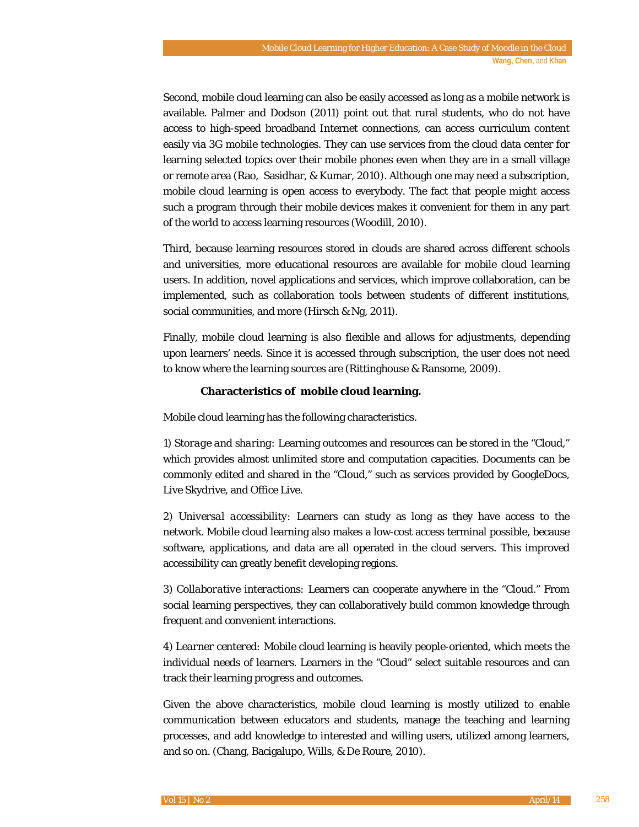Second, mobile cloud learning can also be easily accessed as long as a mobile network is available. Palmer and Dodson (2011) point out that rural students, who do not have access to high-speed broadband Internet connections, can access curriculum content easily via 3G mobile technologies. They can use services from the cloud data center for learning selected topics over their mobile phones even when they are in a small village or remote area (Rao, Sasidhar, & Kumar, 2010). Although one may need a subscription, mobile cloud learning is open access to everybody. The fact that people might access such a program through their mobile devices makes it convenient for them in any part of the world to access learning resources (Woodill, 2010).

Third, because learning resources stored in clouds are shared across different schools and universities, more educational resources are available for mobile cloud learning users. In addition, novel applications and services, which improve collaboration, can be implemented, such as collaboration tools between students of different institutions, social communities, and more (Hirsch & Ng, 2011).

Finally, mobile cloud learning is also flexible and allows for adjustments, depending upon learners' needs. Since it is accessed through subscription, the user does not need to know where the learning sources are (Rittinghouse & Ransome, 2009).

#### **Characteristics of mobile cloud learning.**

Mobile cloud learning has the following characteristics.

*1) Storage and sharing:* Learning outcomes and resources can be stored in the "Cloud," which provides almost unlimited store and computation capacities. Documents can be commonly edited and shared in the "Cloud," such as services provided by GoogleDocs, Live Skydrive, and Office Live.

*2) Universal accessibility:* Learners can study as long as they have access to the network. Mobile cloud learning also makes a low-cost access terminal possible, because software, applications, and data are all operated in the cloud servers. This improved accessibility can greatly benefit developing regions.

*3) Collaborative interactions:* Learners can cooperate anywhere in the "Cloud." From social learning perspectives, they can collaboratively build common knowledge through frequent and convenient interactions.

4) *Learner centered:* Mobile cloud learning is heavily people-oriented, which meets the individual needs of learners. Learners in the "Cloud" select suitable resources and can track their learning progress and outcomes.

Given the above characteristics, mobile cloud learning is mostly utilized to enable communication between educators and students, manage the teaching and learning processes, and add knowledge to interested and willing users, utilized among learners, and so on. (Chang, Bacigalupo, Wills, & De Roure, 2010).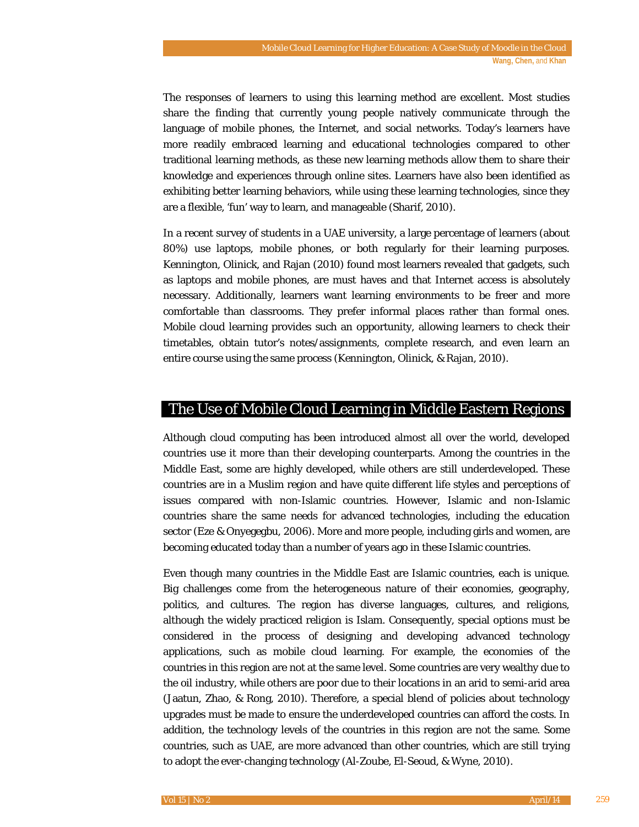The responses of learners to using this learning method are excellent. Most studies share the finding that currently young people natively communicate through the language of mobile phones, the Internet, and social networks. Today's learners have more readily embraced learning and educational technologies compared to other traditional learning methods, as these new learning methods allow them to share their knowledge and experiences through online sites. Learners have also been identified as exhibiting better learning behaviors, while using these learning technologies, since they are a flexible, 'fun' way to learn, and manageable (Sharif, 2010).

In a recent survey of students in a UAE university, a large percentage of learners (about 80%) use laptops, mobile phones, or both regularly for their learning purposes. Kennington, Olinick, and Rajan (2010) found most learners revealed that gadgets, such as laptops and mobile phones, are must haves and that Internet access is absolutely necessary. Additionally, learners want learning environments to be freer and more comfortable than classrooms. They prefer informal places rather than formal ones. Mobile cloud learning provides such an opportunity, allowing learners to check their timetables, obtain tutor's notes/assignments, complete research, and even learn an entire course using the same process (Kennington, Olinick, & Rajan, 2010).

## The Use of Mobile Cloud Learning in Middle Eastern Regions

Although cloud computing has been introduced almost all over the world, developed countries use it more than their developing counterparts. Among the countries in the Middle East, some are highly developed, while others are still underdeveloped. These countries are in a Muslim region and have quite different life styles and perceptions of issues compared with non-Islamic countries. However, Islamic and non-Islamic countries share the same needs for advanced technologies, including the education sector (Eze & Onyegegbu, 2006). More and more people, including girls and women, are becoming educated today than a number of years ago in these Islamic countries.

Even though many countries in the Middle East are Islamic countries, each is unique. Big challenges come from the heterogeneous nature of their economies, geography, politics, and cultures. The region has diverse languages, cultures, and religions, although the widely practiced religion is Islam. Consequently, special options must be considered in the process of designing and developing advanced technology applications, such as mobile cloud learning. For example, the economies of the countries in this region are not at the same level. Some countries are very wealthy due to the oil industry, while others are poor due to their locations in an arid to semi-arid area (Jaatun, Zhao, & Rong, 2010). Therefore, a special blend of policies about technology upgrades must be made to ensure the underdeveloped countries can afford the costs. In addition, the technology levels of the countries in this region are not the same. Some countries, such as UAE, are more advanced than other countries, which are still trying to adopt the ever-changing technology (Al-Zoube, El-Seoud, & Wyne, 2010).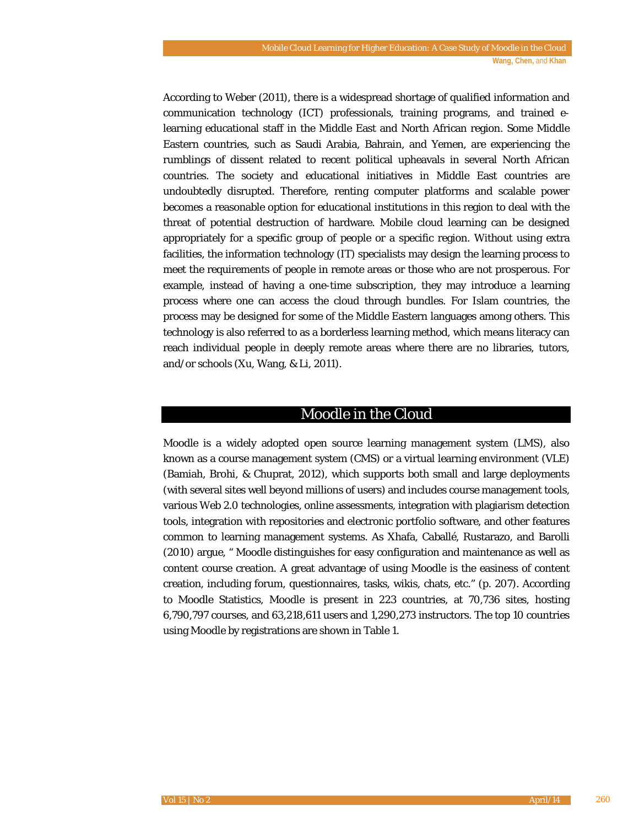According to Weber (2011), there is a widespread shortage of qualified information and communication technology (ICT) professionals, training programs, and trained elearning educational staff in the Middle East and North African region. Some Middle Eastern countries, such as Saudi Arabia, Bahrain, and Yemen, are experiencing the rumblings of dissent related to recent political upheavals in several North African countries. The society and educational initiatives in Middle East countries are undoubtedly disrupted. Therefore, renting computer platforms and scalable power becomes a reasonable option for educational institutions in this region to deal with the threat of potential destruction of hardware. Mobile cloud learning can be designed appropriately for a specific group of people or a specific region. Without using extra facilities, the information technology (IT) specialists may design the learning process to meet the requirements of people in remote areas or those who are not prosperous. For example, instead of having a one-time subscription, they may introduce a learning process where one can access the cloud through bundles. For Islam countries, the process may be designed for some of the Middle Eastern languages among others. This technology is also referred to as a borderless learning method, which means literacy can reach individual people in deeply remote areas where there are no libraries, tutors, and/or schools (Xu, Wang, & Li, 2011).

## Moodle in the Cloud

Moodle is a widely adopted open source learning management system (LMS), also known as a course management system (CMS) or a virtual learning environment (VLE) (Bamiah, Brohi, & Chuprat, 2012), which supports both small and large deployments (with several sites well beyond millions of users) and includes course management tools, various Web 2.0 technologies, online assessments, integration with plagiarism detection tools, integration with repositories and electronic portfolio software, and other features common to learning management systems. As Xhafa, Caballé, Rustarazo, and Barolli (2010) argue, " Moodle distinguishes for easy configuration and maintenance as well as content course creation. A great advantage of using Moodle is the easiness of content creation, including forum, questionnaires, tasks, wikis, chats, etc." (p. 207). According to Moodle Statistics, Moodle is present in 223 countries, at 70,736 sites, hosting 6,790,797 courses, and 63,218,611 users and 1,290,273 instructors. The top 10 countries using Moodle by registrations are shown in Table 1.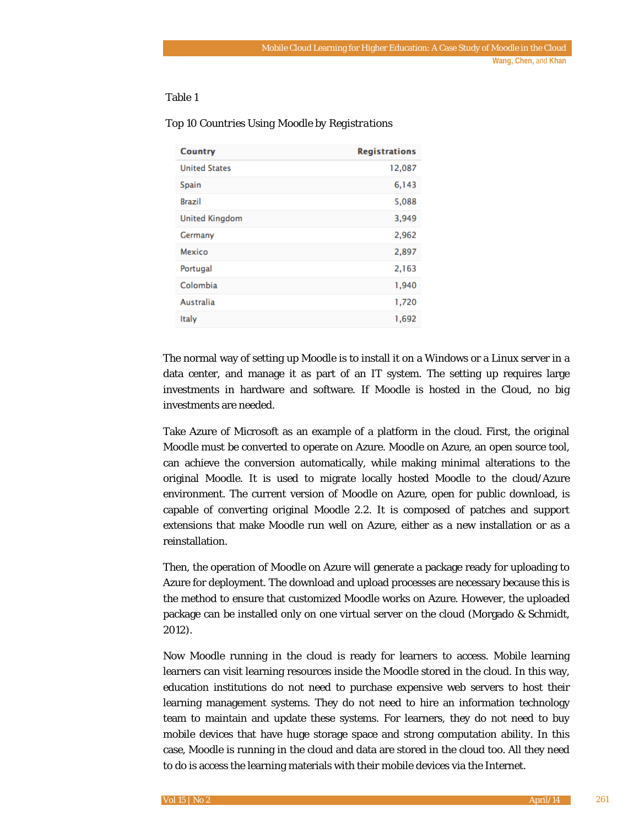#### Table 1

| <b>Country</b>        | <b>Registrations</b> |
|-----------------------|----------------------|
| <b>United States</b>  | 12,087               |
| Spain                 | 6,143                |
| <b>Brazil</b>         | 5,088                |
| <b>United Kingdom</b> | 3,949                |
| Germany               | 2,962                |
| Mexico                | 2,897                |
| Portugal              | 2,163                |
| Colombia              | 1,940                |
| Australia             | 1,720                |
| Italy                 | 1,692                |

#### *Top 10 Countries Using Moodle by Registrations*

The normal way of setting up Moodle is to install it on a Windows or a Linux server in a data center, and manage it as part of an IT system. The setting up requires large investments in hardware and software. If Moodle is hosted in the Cloud, no big investments are needed.

Take Azure of Microsoft as an example of a platform in the cloud. First, the original Moodle must be converted to operate on Azure. Moodle on Azure, an open source tool, can achieve the conversion automatically, while making minimal alterations to the original Moodle. It is used to migrate locally hosted Moodle to the cloud/Azure environment. The current version of Moodle on Azure, open for public download, is capable of converting original Moodle 2.2. It is composed of patches and support extensions that make Moodle run well on Azure, either as a new installation or as a reinstallation.

Then, the operation of Moodle on Azure will generate a package ready for uploading to Azure for deployment. The download and upload processes are necessary because this is the method to ensure that customized Moodle works on Azure. However, the uploaded package can be installed only on one virtual server on the cloud (Morgado & Schmidt, 2012).

Now Moodle running in the cloud is ready for learners to access. Mobile learning learners can visit learning resources inside the Moodle stored in the cloud. In this way, education institutions do not need to purchase expensive web servers to host their learning management systems. They do not need to hire an information technology team to maintain and update these systems. For learners, they do not need to buy mobile devices that have huge storage space and strong computation ability. In this case, Moodle is running in the cloud and data are stored in the cloud too. All they need to do is access the learning materials with their mobile devices via the Internet.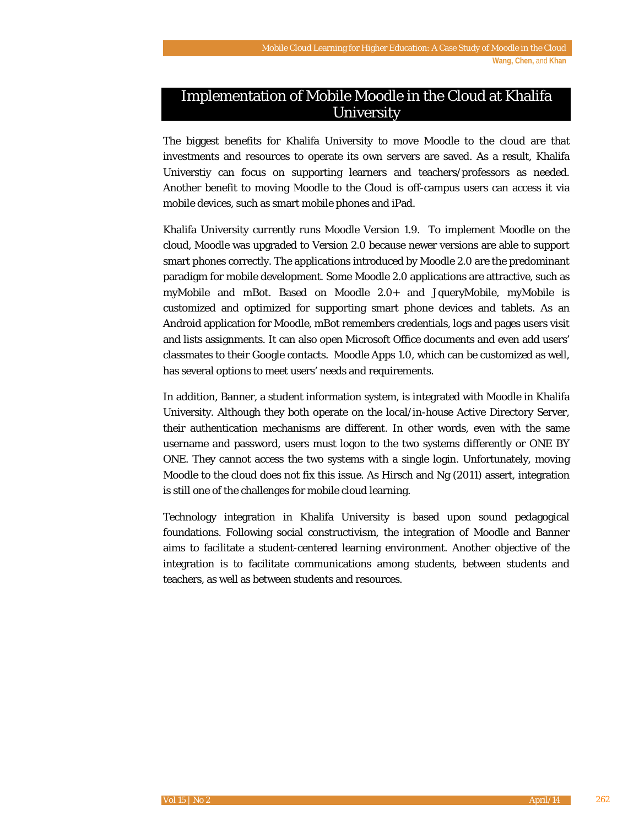# Implementation of Mobile Moodle in the Cloud at Khalifa **University**

The biggest benefits for Khalifa University to move Moodle to the cloud are that investments and resources to operate its own servers are saved. As a result, Khalifa Universtiy can focus on supporting learners and teachers/professors as needed. Another benefit to moving Moodle to the Cloud is off-campus users can access it via mobile devices, such as smart mobile phones and iPad.

Khalifa University currently runs Moodle Version 1.9. To implement Moodle on the cloud, Moodle was upgraded to Version 2.0 because newer versions are able to support smart phones correctly. The applications introduced by Moodle 2.0 are the predominant paradigm for mobile development. Some Moodle 2.0 applications are attractive, such as myMobile and mBot. Based on Moodle 2.0+ and JqueryMobile, myMobile is customized and optimized for supporting smart phone devices and tablets. As an Android application for Moodle, mBot remembers credentials, logs and pages users visit and lists assignments. It can also open Microsoft Office documents and even add users' classmates to their Google contacts. Moodle Apps 1.0, which can be customized as well, has several options to meet users' needs and requirements.

In addition, Banner, a student information system, is integrated with Moodle in Khalifa University. Although they both operate on the local/in-house Active Directory Server, their authentication mechanisms are different. In other words, even with the same username and password, users must logon to the two systems differently or ONE BY ONE. They cannot access the two systems with a single login. Unfortunately, moving Moodle to the cloud does not fix this issue. As Hirsch and Ng (2011) assert, integration is still one of the challenges for mobile cloud learning.

Technology integration in Khalifa University is based upon sound pedagogical foundations. Following social constructivism, the integration of Moodle and Banner aims to facilitate a student-centered learning environment. Another objective of the integration is to facilitate communications among students, between students and teachers, as well as between students and resources.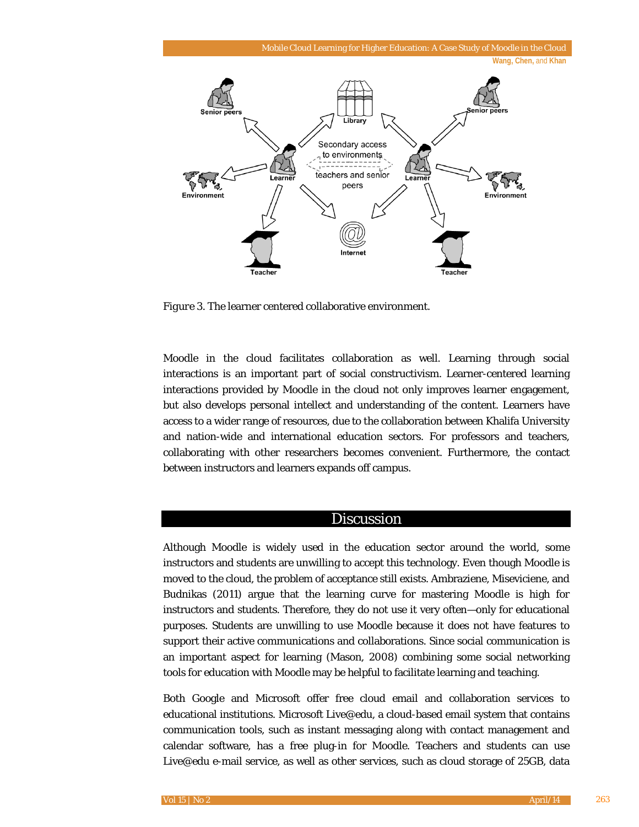

*Figure 3*. The learner centered collaborative environment.

Moodle in the cloud facilitates collaboration as well. Learning through social interactions is an important part of social constructivism. Learner-centered learning interactions provided by Moodle in the cloud not only improves learner engagement, but also develops personal intellect and understanding of the content. Learners have access to a wider range of resources, due to the collaboration between Khalifa University and nation-wide and international education sectors. For professors and teachers, collaborating with other researchers becomes convenient. Furthermore, the contact between instructors and learners expands off campus.

## **Discussion**

Although Moodle is widely used in the education sector around the world, some instructors and students are unwilling to accept this technology. Even though Moodle is moved to the cloud, the problem of acceptance still exists. Ambraziene, Miseviciene, and Budnikas (2011) argue that the learning curve for mastering Moodle is high for instructors and students. Therefore, they do not use it very often—only for educational purposes. Students are unwilling to use Moodle because it does not have features to support their active communications and collaborations. Since social communication is an important aspect for learning (Mason, 2008) combining some social networking tools for education with Moodle may be helpful to facilitate learning and teaching.

Both Google and Microsoft offer free cloud email and collaboration services to educational institutions. Microsoft Live@edu, a cloud-based email system that contains communication tools, such as instant messaging along with contact management and calendar software, has a free plug-in for Moodle. Teachers and students can use Live@edu e-mail service, as well as other services, such as cloud storage of 25GB, data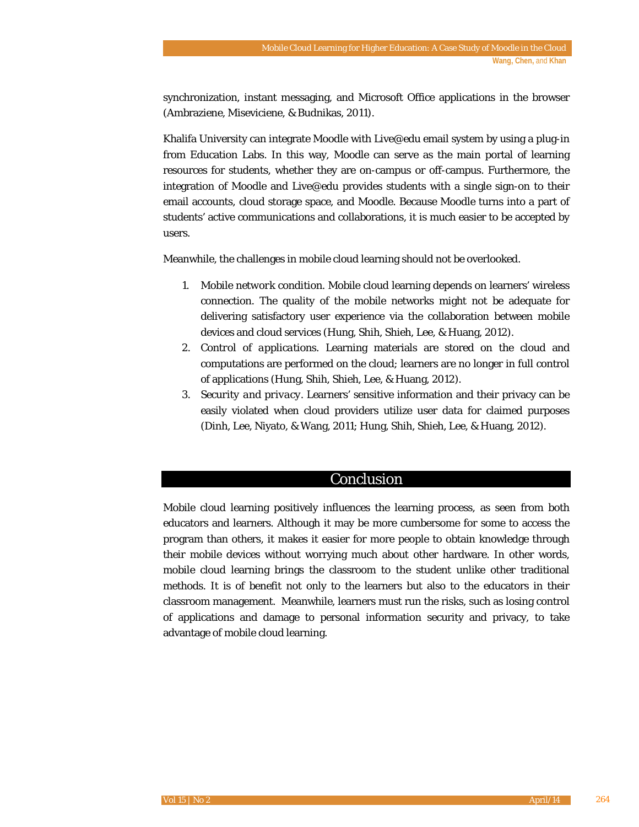synchronization, instant messaging, and Microsoft Office applications in the browser (Ambraziene, Miseviciene, & Budnikas, 2011).

Khalifa University can integrate Moodle with Live@edu email system by using a plug-in from Education Labs. In this way, Moodle can serve as the main portal of learning resources for students, whether they are on-campus or off-campus. Furthermore, the integration of Moodle and Live@edu provides students with a single sign-on to their email accounts, cloud storage space, and Moodle. Because Moodle turns into a part of students' active communications and collaborations, it is much easier to be accepted by users.

Meanwhile, the challenges in mobile cloud learning should not be overlooked.

- 1. *Mobile network condition.* Mobile cloud learning depends on learners' wireless connection. The quality of the mobile networks might not be adequate for delivering satisfactory user experience via the collaboration between mobile devices and cloud services (Hung, Shih, Shieh, Lee, & Huang, 2012).
- 2. *Control of applications.* Learning materials are stored on the cloud and computations are performed on the cloud; learners are no longer in full control of applications (Hung, Shih, Shieh, Lee, & Huang, 2012).
- 3. *Security and privacy.* Learners' sensitive information and their privacy can be easily violated when cloud providers utilize user data for claimed purposes (Dinh, Lee, Niyato, & Wang, 2011; Hung, Shih, Shieh, Lee, & Huang, 2012).

## Conclusion

Mobile cloud learning positively influences the learning process, as seen from both educators and learners. Although it may be more cumbersome for some to access the program than others, it makes it easier for more people to obtain knowledge through their mobile devices without worrying much about other hardware. In other words, mobile cloud learning brings the classroom to the student unlike other traditional methods. It is of benefit not only to the learners but also to the educators in their classroom management. Meanwhile, learners must run the risks, such as losing control of applications and damage to personal information security and privacy, to take advantage of mobile cloud learning.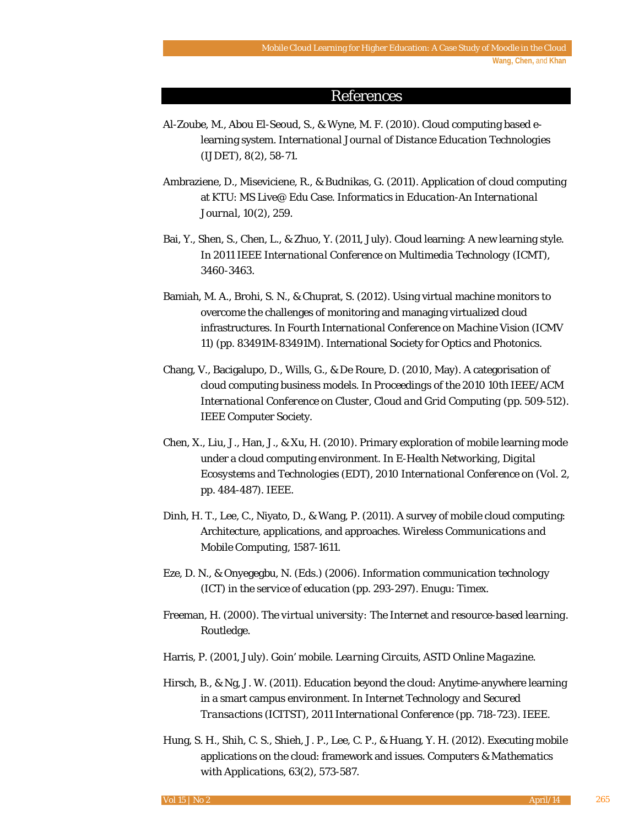#### References

- Al-Zoube, M., Abou El-Seoud, S., & Wyne, M. F. (2010). Cloud computing based elearning system. *International Journal of Distance Education Technologies (IJDET)*, *8*(2), 58-71.
- Ambraziene, D., Miseviciene, R., & Budnikas, G. (2011). Application of cloud computing at KTU: MS Live@ Edu Case*. Informatics in Education-An International Journal*, *10*(2), 259.
- Bai, Y., Shen, S., Chen, L., & Zhuo, Y. (2011, July). Cloud learning: A new learning style. In *2011 IEEE International Conference on Multimedia Technology (ICMT),* 3460-3463.
- Bamiah, M. A., Brohi, S. N., & Chuprat, S. (2012). Using virtual machine monitors to overcome the challenges of monitoring and managing virtualized cloud infrastructures. In *Fourth International Conference on Machine Vision (ICMV 11)* (pp. 83491M-83491M). International Society for Optics and Photonics.
- Chang, V., Bacigalupo, D., Wills, G., & De Roure, D. (2010, May). A categorisation of cloud computing business models. In *Proceedings of the 2010 10th IEEE/ACM International Conference on Cluster, Cloud and Grid Computing* (pp. 509-512). IEEE Computer Society.
- Chen, X., Liu, J., Han, J., & Xu, H. (2010). Primary exploration of mobile learning mode under a cloud computing environment. In *E-Health Networking, Digital Ecosystems and Technologies (EDT), 2010 International Conference on* (Vol. 2, pp. 484-487). IEEE.
- Dinh, H. T., Lee, C., Niyato, D., & Wang, P. (2011). A survey of mobile cloud computing: Architecture, applications, and approaches. *Wireless Communications and Mobile Computing*, 1587-1611.
- Eze, D. N., & Onyegegbu, N. (Eds.) (2006). *Information communication technology (ICT) in the service of education* (pp. 293-297). Enugu: Timex.
- Freeman, H. (2000). *The virtual university: The Internet and resource-based learning*. Routledge.
- Harris, P. (2001, July). Goin' mobile. *Learning Circuits*, *ASTD Online Magazine*.
- Hirsch, B., & Ng, J. W. (2011). Education beyond the cloud: Anytime-anywhere learning in a smart campus environment. In *Internet Technology and Secured Transactions (ICITST), 2011 International Conference* (pp. 718-723). IEEE.
- Hung, S. H., Shih, C. S., Shieh, J. P., Lee, C. P., & Huang, Y. H. (2012). Executing mobile applications on the cloud: framework and issues. *Computers & Mathematics with Applications*, 63(2), 573-587.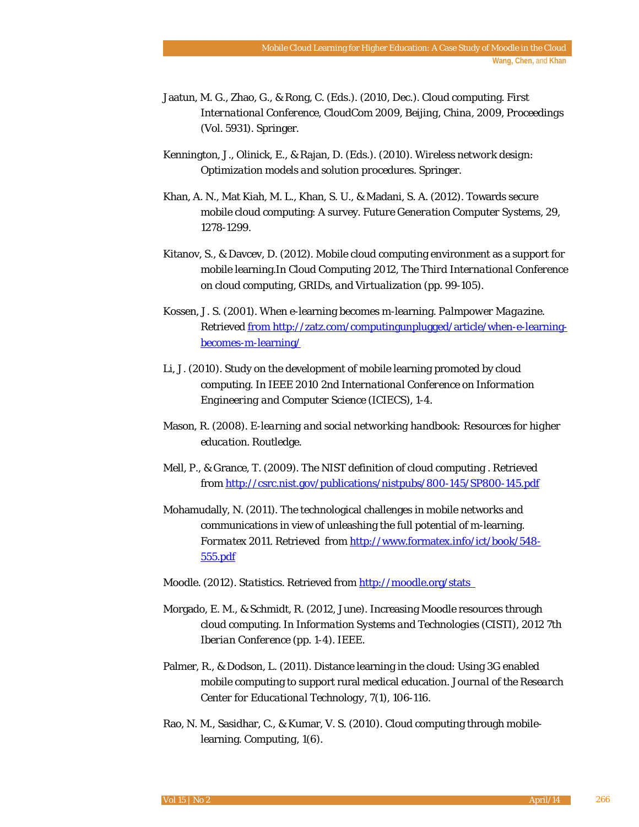- Jaatun, M. G., Zhao, G., & Rong, C. (Eds.). (2010, Dec.). Cloud computing. *First International Conference, CloudCom 2009, Beijing, China, 2009, Proceedings*  (Vol. 5931). Springer.
- Kennington, J., Olinick, E., & Rajan, D. (Eds.). (2010). *Wireless network design: Optimization models and solution procedures*. Springer.
- Khan, A. N., Mat Kiah, M. L., Khan, S. U., & Madani, S. A. (2012). Towards secure mobile cloud computing: A survey. *Future Generation Computer Systems*, *29*, 1278-1299.
- Kitanov, S., & Davcev*,* D. (2012). Mobile cloud computing environment as a support for mobile learning.In *Cloud Computing 2012, The Third International Conference on cloud computing, GRIDs, and Virtualization* (pp. 99-105).
- Kossen, J. S. (2001). When e-learning becomes m-learning. *Palmpower Magazine*. Retrieved from http://zatz.com/computingunplugged/article/when-e-learningbecomes-m-learning/
- Li, J. (2010). Study on the development of mobile learning promoted by cloud computing. In *IEEE 2010 2nd International Conference on Information Engineering and Computer Science (ICIECS),* 1-4.
- Mason, R. (2008). *E-learning and social networking handbook: Resources for higher education*. Routledge.
- Mell, P., & Grance, T. (2009). The NIST definition of cloud computing . Retrieved from<http://csrc.nist.gov/publications/nistpubs/800-145/SP800-145.pdf>
- Mohamudally, N. (2011). The technological challenges in mobile networks and communications in view of unleashing the full potential of m-learning. *Formatex 2011*. Retrieved from [http://www.formatex.info/ict/book/548-](http://www.formatex.info/ict/book/548-555.pdf) [555.pdf](http://www.formatex.info/ict/book/548-555.pdf)
- Moodle. (2012). *Statistics*. Retrieved from<http://moodle.org/stats>
- Morgado, E. M., & Schmidt, R. (2012, June). Increasing Moodle resources through cloud computing. In *Information Systems and Technologies (CISTI), 2012 7th Iberian Conference* (pp. 1-4). IEEE.
- Palmer, R., & Dodson, L. (2011). Distance learning in the cloud: Using 3G enabled mobile computing to support rural medical education. *Journal of the Research Center for Educational Technology, 7*(1), 106-116.
- Rao, N. M., Sasidhar, C., & Kumar, V. S. (2010). Cloud computing through mobilelearning. *Computing*, *1*(6).